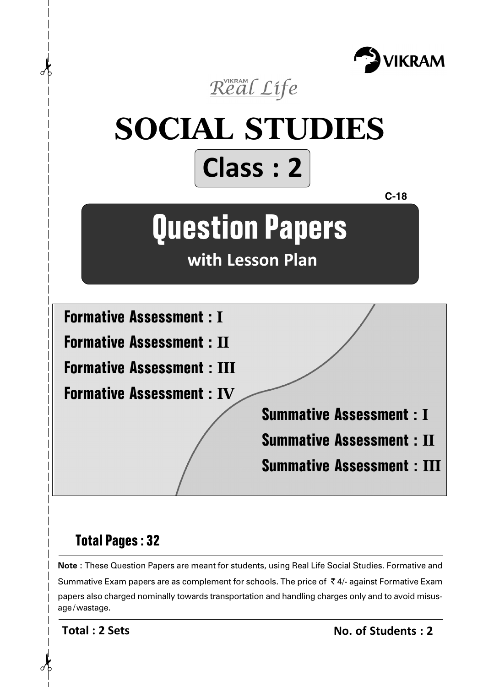



# **Total Pages : 32**

**Note :** These Question Papers are meant for students, using Real Life Social Studies. Formative and Summative Exam papers are as complement for schools. The price of  $\bar{\tau}$  4/- against Formative Exam papers also charged nominally towards transportation and handling charges only and to avoid misusage/wastage.

**Total : 2 Sets**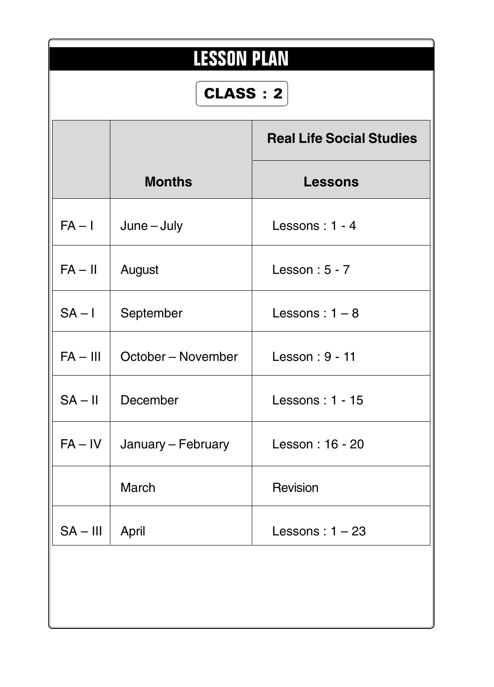| <b>LESSON PLAN</b><br>CLASS: 2 |                    |                                 |  |  |
|--------------------------------|--------------------|---------------------------------|--|--|
|                                |                    | <b>Real Life Social Studies</b> |  |  |
|                                | <b>Months</b>      | <b>Lessons</b>                  |  |  |
| $FA - I$                       | $June - July$      | Lessons: 1 - 4                  |  |  |
| $FA - II$                      | August             | Lesson: $5 - 7$                 |  |  |
| $SA - I$                       | September          | Lessons: $1-8$                  |  |  |
| $FA - III$                     | October – November | Lesson: 9 - 11                  |  |  |
| $SA - II$                      | December           | Lessons: 1 - 15                 |  |  |
| $FA - IV$                      | January - February | Lesson: 16 - 20                 |  |  |
|                                | <b>March</b>       | Revision                        |  |  |
| $SA - III$                     | April              | Lessons: $1 - 23$               |  |  |
|                                |                    |                                 |  |  |
|                                |                    |                                 |  |  |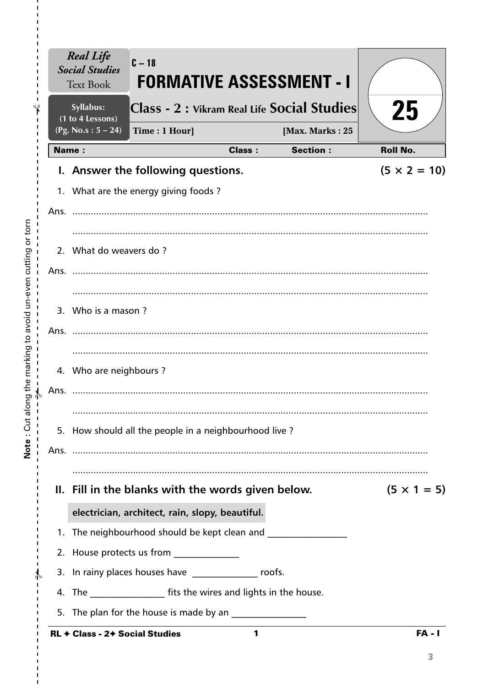|      | <b>Real Life</b><br><b>Social Studies</b><br><b>Text Book</b> | $C - 18$<br><b>FORMATIVE ASSESSMENT - I</b>                          |               |                 |                     |
|------|---------------------------------------------------------------|----------------------------------------------------------------------|---------------|-----------------|---------------------|
|      | Syllabus:<br>(1 to 4 Lessons)                                 | Class - 2 : Vikram Real Life Social Studies                          |               |                 | 25                  |
|      | (Pg. No.s: $5 - 24$ )                                         | Time: 1 Hour]                                                        |               | [Max. Marks: 25 |                     |
|      | Name:                                                         |                                                                      | <b>Class:</b> | <b>Section:</b> | <b>Roll No.</b>     |
|      |                                                               | I. Answer the following questions.                                   |               |                 | $(5 \times 2 = 10)$ |
|      |                                                               | 1. What are the energy giving foods?                                 |               |                 |                     |
|      |                                                               |                                                                      |               |                 |                     |
|      |                                                               |                                                                      |               |                 |                     |
|      | 2. What do weavers do?                                        |                                                                      |               |                 |                     |
| Ans. |                                                               |                                                                      |               |                 |                     |
|      |                                                               |                                                                      |               |                 |                     |
|      | 3. Who is a mason?                                            |                                                                      |               |                 |                     |
|      |                                                               |                                                                      |               |                 |                     |
|      |                                                               |                                                                      |               |                 |                     |
|      | 4. Who are neighbours?                                        |                                                                      |               |                 |                     |
| Ans. |                                                               |                                                                      |               |                 |                     |
|      |                                                               |                                                                      |               |                 |                     |
|      |                                                               | 5. How should all the people in a neighbourhood live?                |               |                 |                     |
|      |                                                               |                                                                      |               |                 |                     |
|      |                                                               |                                                                      |               |                 |                     |
|      |                                                               | II. Fill in the blanks with the words given below.                   |               |                 | $(5 \times 1 = 5)$  |
|      |                                                               | electrician, architect, rain, slopy, beautiful.                      |               |                 |                     |
|      |                                                               | 1. The neighbourhood should be kept clean and                        |               |                 |                     |
|      |                                                               | 2. House protects us from _______________                            |               |                 |                     |
|      |                                                               | 3. In rainy places houses have ________________ roofs.               |               |                 |                     |
|      |                                                               | 4. The _____________________ fits the wires and lights in the house. |               |                 |                     |
|      |                                                               | 5. The plan for the house is made by an ________________             |               |                 |                     |
|      | RL + Class - 2+ Social Studies                                |                                                                      | 1             |                 | <b>FA - I</b>       |

 $\frac{1}{1}$  $\frac{1}{1}$ 

 $\mathbf I$  $\mathbf I$  $\frac{1}{1}$ 

 $\frac{1}{1}$   $\frac{1}{1}$   $\frac{1}{1}$   $\frac{1}{1}$ 

 $\bar{\mathbf{I}}$  $\bar{\mathbf{I}}$  $\bar{\mathbf{I}}$ 

 $\overline{3}$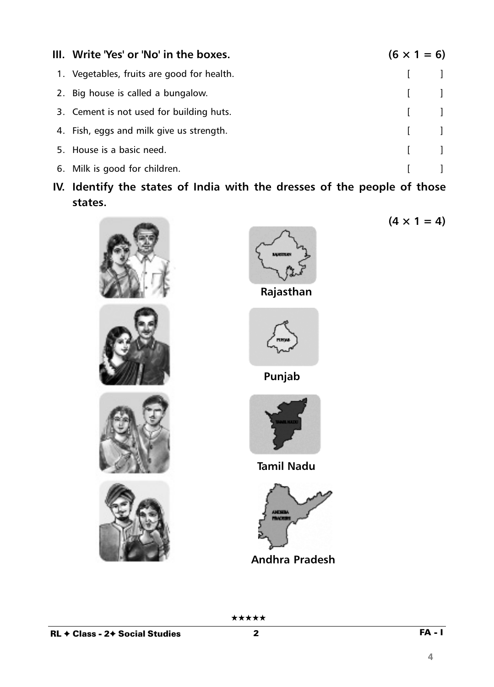| III. Write 'Yes' or 'No' in the boxes.     | $(6 \times 1 = 6)$                    |
|--------------------------------------------|---------------------------------------|
| 1. Vegetables, fruits are good for health. | $\begin{bmatrix} 1 & 1 \end{bmatrix}$ |
| 2. Big house is called a bungalow.         | $\begin{bmatrix} 1 & 1 \end{bmatrix}$ |
| 3. Cement is not used for building huts.   | $\begin{bmatrix} 1 & 1 \end{bmatrix}$ |
| 4. Fish, eggs and milk give us strength.   | $\begin{bmatrix} 1 & 1 \end{bmatrix}$ |
| 5. House is a basic need.                  | $\begin{bmatrix} 1 & 1 \end{bmatrix}$ |
| 6. Milk is good for children.              |                                       |

**IV. Identify the states of India with the dresses of the people of those states.**













**Rajasthan**







**Tamil Nadu**



**Andhra Pradesh**

★★★★★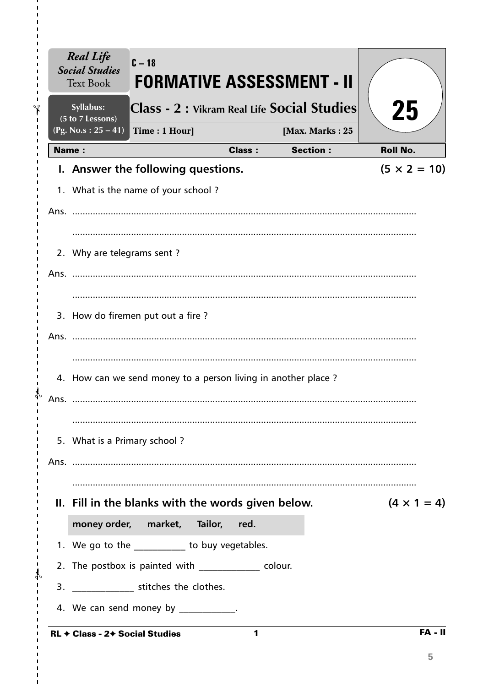|              | Syllabus:<br>(5 to 7 Lessons) |                                                               |               | Class - 2 : Vikram Real Life Social Studies | 25                  |
|--------------|-------------------------------|---------------------------------------------------------------|---------------|---------------------------------------------|---------------------|
|              | (Pg. No.s: $25 - 41$ )        | Time: 1 Hour]                                                 |               | [Max. Marks: 25                             |                     |
| <b>Name:</b> |                               |                                                               | <b>Class:</b> | <b>Section:</b>                             | <b>Roll No.</b>     |
|              |                               | I. Answer the following questions.                            |               |                                             | $(5 \times 2 = 10)$ |
|              |                               | 1. What is the name of your school?                           |               |                                             |                     |
|              |                               |                                                               |               |                                             |                     |
|              |                               |                                                               |               |                                             |                     |
|              | 2. Why are telegrams sent?    |                                                               |               |                                             |                     |
|              |                               |                                                               |               |                                             |                     |
|              |                               |                                                               |               |                                             |                     |
|              |                               | 3. How do firemen put out a fire?                             |               |                                             |                     |
|              |                               |                                                               |               |                                             |                     |
|              |                               |                                                               |               |                                             |                     |
|              |                               | 4. How can we send money to a person living in another place? |               |                                             |                     |
| Ans.         |                               |                                                               |               |                                             |                     |
|              |                               |                                                               |               |                                             |                     |
|              | 5. What is a Primary school?  |                                                               |               |                                             |                     |
|              |                               |                                                               |               |                                             |                     |
|              |                               |                                                               |               |                                             |                     |
|              |                               | II. Fill in the blanks with the words given below.            |               |                                             | $(4 \times 1 = 4)$  |
|              |                               | money order, market, Tailor, red.                             |               |                                             |                     |
|              |                               | 1. We go to the __________ to buy vegetables.                 |               |                                             |                     |
|              |                               | 2. The postbox is painted with colour.                        |               |                                             |                     |
|              |                               | 3. _________________ stitches the clothes.                    |               |                                             |                     |

I,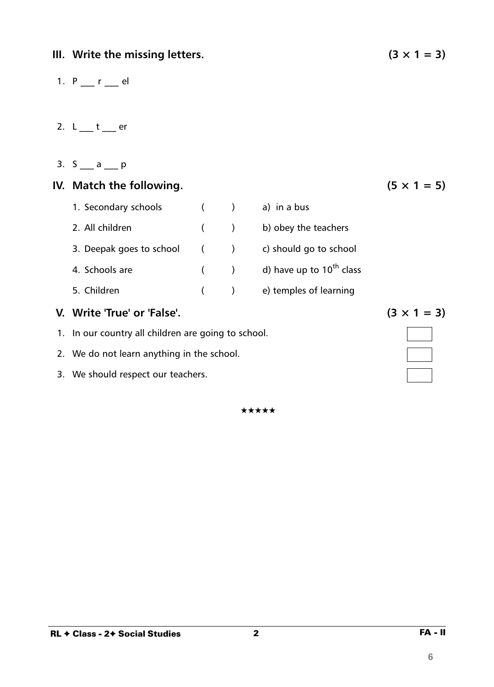**6**

- 1.  $P_{1}$   $r_{2}$  el
- 2.  $L_1$   $t_2$  er
- 3.  $S_$  a p

# **IV.** Match the following.  $(5 \times 1 = 5)$

| 1. Secondary schools        | $\sqrt{2}$ |       | a) in a bus                   |
|-----------------------------|------------|-------|-------------------------------|
| 2. All children             |            | $($ ) | b) obey the teachers          |
| 3. Deepak goes to school () |            |       | c) should go to school        |
| 4. Schools are              |            | $($ ) | d) have up to $10^{th}$ class |
| 5. Children                 |            |       | e) temples of learning        |

# **V.** Write 'True' or 'False'. (3  $\times$  1 = 3)

- 1. In our country all children are going to school.
- 2. We do not learn anything in the school.
- 3. We should respect our teachers.

★★★★★

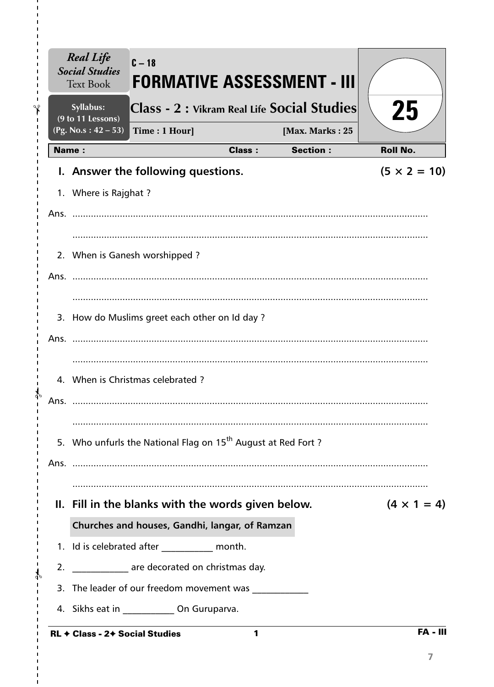|              | <b>Text Book</b><br>Syllabus:               |                                                                          |               | <b>FORMATIVE ASSESSMENT - III</b><br>Class - 2 : Vikram Real Life Social Studies | 25                  |
|--------------|---------------------------------------------|--------------------------------------------------------------------------|---------------|----------------------------------------------------------------------------------|---------------------|
|              | (9 to 11 Lessons)<br>(Pg. No.s: $42 - 53$ ) | Time: 1 Hour]                                                            |               | [Max. Marks: 25                                                                  |                     |
| <b>Name:</b> |                                             |                                                                          | <b>Class:</b> | <b>Section:</b>                                                                  | <b>Roll No.</b>     |
|              |                                             | I. Answer the following questions.                                       |               |                                                                                  | $(5 \times 2 = 10)$ |
|              | 1. Where is Rajghat ?                       |                                                                          |               |                                                                                  |                     |
|              |                                             |                                                                          |               |                                                                                  |                     |
|              |                                             | 2. When is Ganesh worshipped?                                            |               |                                                                                  |                     |
|              |                                             |                                                                          |               |                                                                                  |                     |
|              |                                             |                                                                          |               |                                                                                  |                     |
|              |                                             | 3. How do Muslims greet each other on Id day?                            |               |                                                                                  |                     |
|              |                                             |                                                                          |               |                                                                                  |                     |
|              |                                             | 4. When is Christmas celebrated?                                         |               |                                                                                  |                     |
| Ans.         |                                             |                                                                          |               |                                                                                  |                     |
|              |                                             | 5. Who unfurls the National Flag on 15 <sup>th</sup> August at Red Fort? |               |                                                                                  |                     |
|              |                                             |                                                                          |               |                                                                                  |                     |
|              |                                             | II. Fill in the blanks with the words given below.                       |               |                                                                                  | $(4 \times 1 = 4)$  |
|              |                                             | Churches and houses, Gandhi, langar, of Ramzan                           |               |                                                                                  |                     |
|              |                                             | 1. Id is celebrated after ____________ month.                            |               |                                                                                  |                     |
| 2.           |                                             | _______________ are decorated on christmas day.                          |               |                                                                                  |                     |
|              |                                             | 3. The leader of our freedom movement was ____________                   |               |                                                                                  |                     |
|              |                                             | 4. Sikhs eat in ______________ On Guruparva.                             |               |                                                                                  |                     |

I,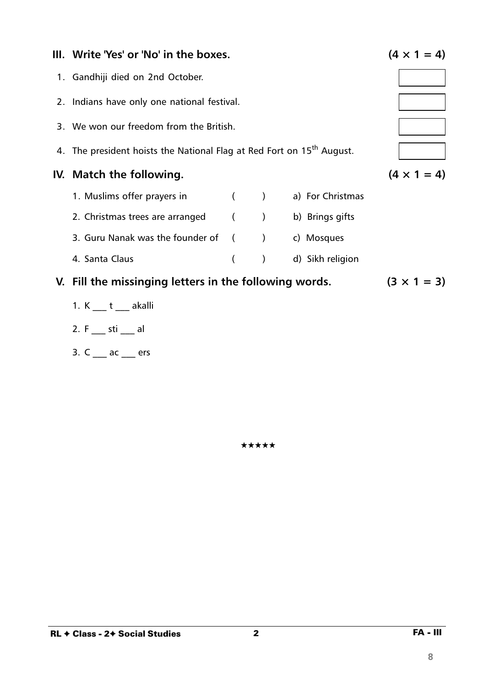| III. Write 'Yes' or 'No' in the boxes.                                            | $(4 \times 1 = 4)$ |                  |                  |  |
|-----------------------------------------------------------------------------------|--------------------|------------------|------------------|--|
| 1. Gandhiji died on 2nd October.                                                  |                    |                  |                  |  |
| 2. Indians have only one national festival.                                       |                    |                  |                  |  |
| 3. We won our freedom from the British.                                           |                    |                  |                  |  |
| 4. The president hoists the National Flag at Red Fort on 15 <sup>th</sup> August. |                    |                  |                  |  |
| IV. Match the following.                                                          | $(4 \times 1 = 4)$ |                  |                  |  |
| 1. Muslims offer prayers in ( ) a) For Christmas                                  |                    |                  |                  |  |
| 2. Christmas trees are arranged (Casable 1) b) Brings gifts                       |                    |                  |                  |  |
| 3. Guru Nanak was the founder of () c) Mosques                                    |                    |                  |                  |  |
| 4. Santa Claus                                                                    | $\left($           | $\left( \right)$ | d) Sikh religion |  |
| V. Fill the missinging letters in the following words.                            | $(3 \times 1 = 3)$ |                  |                  |  |
| 1. K t akalli                                                                     |                    |                  |                  |  |
| 2. F sti al                                                                       |                    |                  |                  |  |

\*\*\*\*\*

 $\overline{\mathbf{2}}$ 

3.  $C_{\frac{1}{2}}$  ac  $\frac{1}{2}$  ers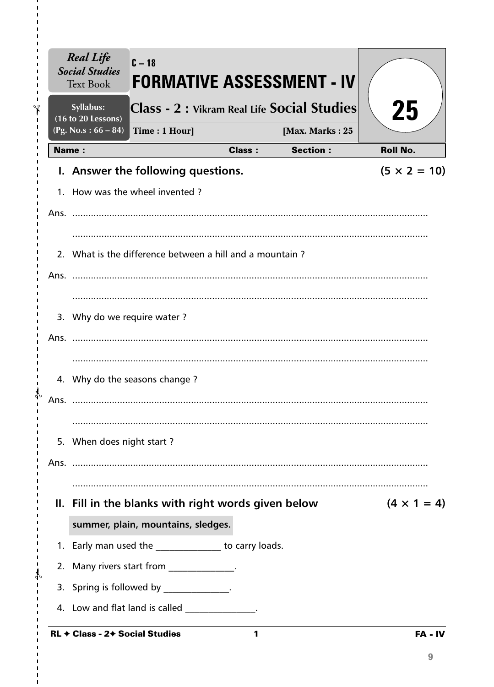|              | Syllabus:<br>(16 to 20 Lessons) |                                                          |               | Class - 2 : Vikram Real Life Social Studies | 25                                     |
|--------------|---------------------------------|----------------------------------------------------------|---------------|---------------------------------------------|----------------------------------------|
|              | (Pg. No.s: $66 - 84$ )          | Time: 1 Hour]                                            |               | [Max. Marks: 25<br><b>Section:</b>          |                                        |
| <b>Name:</b> |                                 |                                                          | <b>Class:</b> |                                             | <b>Roll No.</b><br>$(5 \times 2 = 10)$ |
|              |                                 | I. Answer the following questions.                       |               |                                             |                                        |
|              |                                 | 1. How was the wheel invented?                           |               |                                             |                                        |
|              |                                 |                                                          |               |                                             |                                        |
|              |                                 |                                                          |               |                                             |                                        |
|              |                                 | 2. What is the difference between a hill and a mountain? |               |                                             |                                        |
|              |                                 |                                                          |               |                                             |                                        |
|              |                                 |                                                          |               |                                             |                                        |
|              | 3. Why do we require water?     |                                                          |               |                                             |                                        |
|              |                                 |                                                          |               |                                             |                                        |
|              |                                 |                                                          |               |                                             |                                        |
|              |                                 | 4. Why do the seasons change?                            |               |                                             |                                        |
| Ans.         |                                 |                                                          |               |                                             |                                        |
|              |                                 |                                                          |               |                                             |                                        |
|              | 5. When does night start?       |                                                          |               |                                             |                                        |
|              |                                 |                                                          |               |                                             |                                        |
|              |                                 |                                                          |               |                                             |                                        |
|              |                                 | II. Fill in the blanks with right words given below      |               |                                             | $(4 \times 1 = 4)$                     |
|              |                                 | summer, plain, mountains, sledges.                       |               |                                             |                                        |
|              |                                 | 1. Early man used the ______________ to carry loads.     |               |                                             |                                        |
|              |                                 | 2. Many rivers start from ______________.                |               |                                             |                                        |
|              |                                 | 3. Spring is followed by _____________.                  |               |                                             |                                        |
|              |                                 | 4. Low and flat land is called ______________.           |               |                                             |                                        |

 $\mathbf{I}$ 

 $\blacksquare$ I. I, I.  $\mathbf{I}$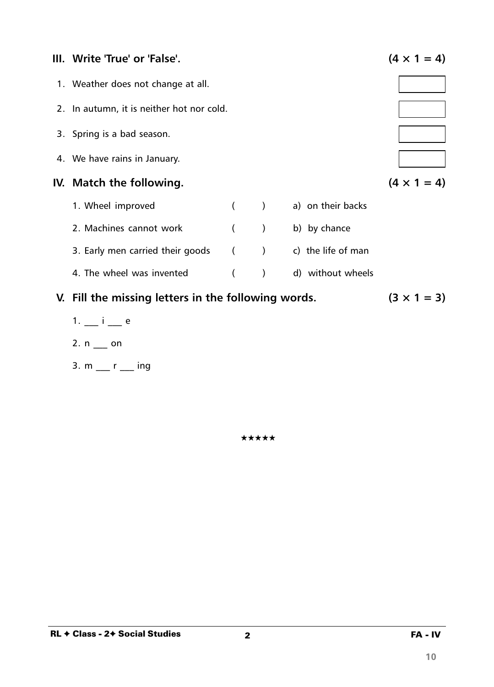

- $1. i e$
- 2.  $n$  \_\_ on
- 3.  $m$  \_\_ r \_\_ ing

★★★★★

 $\overline{\mathbf{2}}$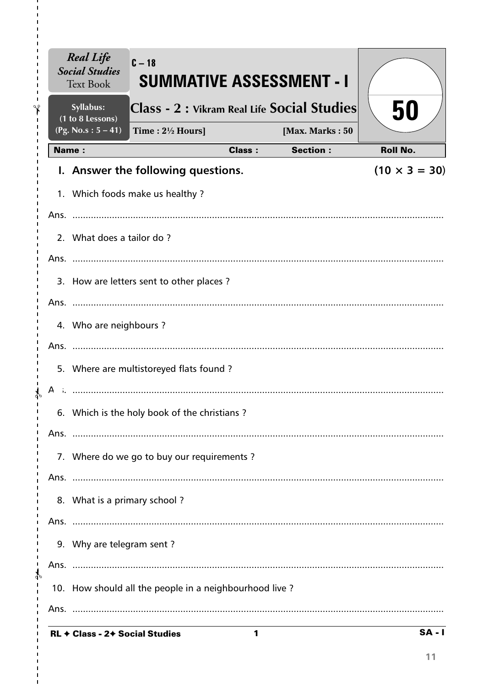|               |              | <b>Real Life</b><br><b>Social Studies</b><br><b>Text Book</b> | $C-18$<br><b>SUMMATIVE ASSESSMENT - I</b>              |               |                 |                      |
|---------------|--------------|---------------------------------------------------------------|--------------------------------------------------------|---------------|-----------------|----------------------|
| ∿             |              | Syllabus:<br>(1 to 8 Lessons)                                 | Class - 2 : Vikram Real Life Social Studies            |               |                 | 50                   |
|               |              | $(Pg. No.s: 5 - 41)$                                          | Time: $2\frac{1}{2}$ Hours]                            |               | [Max. Marks: 50 |                      |
|               | <b>Name:</b> |                                                               |                                                        | <b>Class:</b> | <b>Section:</b> | <b>Roll No.</b>      |
|               |              |                                                               | I. Answer the following questions.                     |               |                 | $(10 \times 3 = 30)$ |
|               |              |                                                               | 1. Which foods make us healthy?                        |               |                 |                      |
|               |              |                                                               |                                                        |               |                 |                      |
|               |              | 2. What does a tailor do?                                     |                                                        |               |                 |                      |
|               |              |                                                               |                                                        |               |                 |                      |
|               |              |                                                               | 3. How are letters sent to other places?               |               |                 |                      |
|               |              |                                                               |                                                        |               |                 |                      |
|               |              | 4. Who are neighbours?                                        |                                                        |               |                 |                      |
|               |              |                                                               |                                                        |               |                 |                      |
|               |              |                                                               | 5. Where are multistoreyed flats found?                |               |                 |                      |
|               |              |                                                               |                                                        |               |                 |                      |
|               |              |                                                               |                                                        |               |                 |                      |
|               |              |                                                               | 6. Which is the holy book of the christians?           |               |                 |                      |
|               |              |                                                               |                                                        |               |                 |                      |
|               |              |                                                               | 7. Where do we go to buy our requirements?             |               |                 |                      |
|               |              |                                                               |                                                        |               |                 |                      |
|               |              | 8. What is a primary school?                                  |                                                        |               |                 |                      |
|               |              |                                                               |                                                        |               |                 |                      |
|               |              | 9. Why are telegram sent?                                     |                                                        |               |                 |                      |
| $\mathcal{P}$ |              |                                                               |                                                        |               |                 |                      |
|               |              |                                                               | 10. How should all the people in a neighbourhood live? |               |                 |                      |
|               |              |                                                               |                                                        |               |                 |                      |
|               |              |                                                               | $C2 = 24 C2$                                           |               |                 | C A                  |

11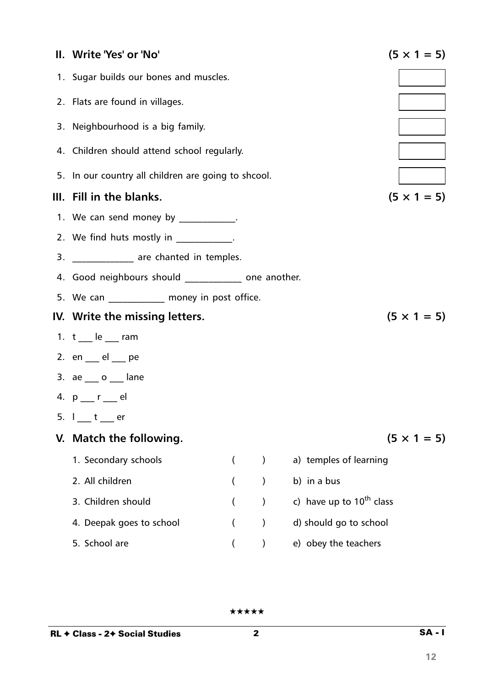| II. Write 'Yes' or 'No'                              |                          |               |                               | $(5 \times 1 = 5)$ |  |  |  |
|------------------------------------------------------|--------------------------|---------------|-------------------------------|--------------------|--|--|--|
| 1. Sugar builds our bones and muscles.               |                          |               |                               |                    |  |  |  |
| 2. Flats are found in villages.                      |                          |               |                               |                    |  |  |  |
| 3. Neighbourhood is a big family.                    |                          |               |                               |                    |  |  |  |
| 4. Children should attend school regularly.          |                          |               |                               |                    |  |  |  |
| 5. In our country all children are going to shcool.  |                          |               |                               |                    |  |  |  |
| III. Fill in the blanks.<br>$(5 \times 1 = 5)$       |                          |               |                               |                    |  |  |  |
| 1. We can send money by ____________.                |                          |               |                               |                    |  |  |  |
| 2. We find huts mostly in _____________.             |                          |               |                               |                    |  |  |  |
| 3. ______________ are chanted in temples.            |                          |               |                               |                    |  |  |  |
| 4. Good neighbours should _____________ one another. |                          |               |                               |                    |  |  |  |
| 5. We can ___________ money in post office.          |                          |               |                               |                    |  |  |  |
| IV. Write the missing letters.                       |                          |               |                               | $(5 \times 1 = 5)$ |  |  |  |
| 1. $t$ $\phantom{0}$ le $\phantom{0}$ ram            |                          |               |                               |                    |  |  |  |
| 2. $en$ $el$ $pe$                                    |                          |               |                               |                    |  |  |  |
| 3. $ae_{\_\_}o_{\_\_}$ lane                          |                          |               |                               |                    |  |  |  |
| 4. p __ r __ el                                      |                          |               |                               |                    |  |  |  |
| 5. $I_1$ $t_2$ er                                    |                          |               |                               |                    |  |  |  |
| V. Match the following.                              |                          |               |                               | $(5 \times 1 = 5)$ |  |  |  |
| 1. Secondary schools                                 | $\overline{\phantom{a}}$ | $\mathcal{E}$ | a) temples of learning        |                    |  |  |  |
| 2. All children                                      |                          | $\mathcal{C}$ | b) in a bus                   |                    |  |  |  |
| 3. Children should                                   |                          | $\mathcal{C}$ | c) have up to $10^{th}$ class |                    |  |  |  |
| 4. Deepak goes to school                             |                          | $\mathcal{E}$ | d) should go to school        |                    |  |  |  |
| 5. School are                                        |                          |               | e) obey the teachers          |                    |  |  |  |

 $2 \overline{\qquad S A - I}$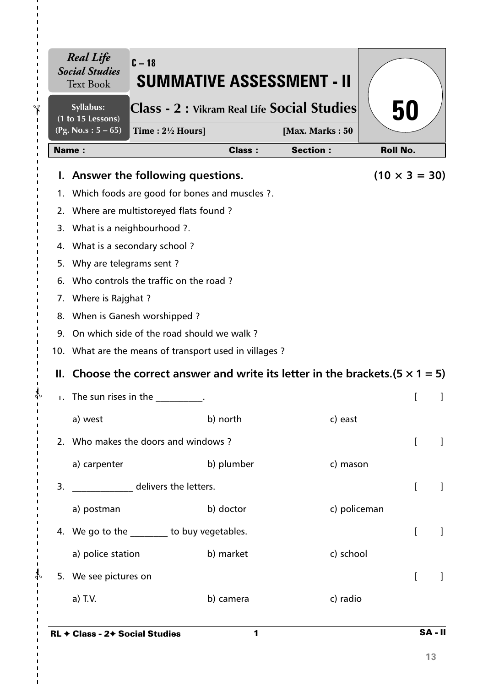|    | <b>Real Life</b><br><b>Social Studies</b><br><b>Text Book</b> | $C - 18$<br>SUMMATIVE ASSESSMENT - II                                                  |               |                 |                      |  |
|----|---------------------------------------------------------------|----------------------------------------------------------------------------------------|---------------|-----------------|----------------------|--|
|    | Syllabus:<br>(1 to 15 Lessons)                                | Class - 2 : Vikram Real Life Social Studies                                            |               |                 | 50                   |  |
|    | (Pg. No.s: $5 - 65$ )                                         | Time: $2\frac{1}{2}$ Hours]                                                            |               | [Max. Marks: 50 |                      |  |
|    | <b>Name:</b>                                                  |                                                                                        | <b>Class:</b> | <b>Section:</b> | <b>Roll No.</b>      |  |
|    |                                                               | I. Answer the following questions.                                                     |               |                 | $(10 \times 3 = 30)$ |  |
|    |                                                               | 1. Which foods are good for bones and muscles ?.                                       |               |                 |                      |  |
|    |                                                               | 2. Where are multistoreyed flats found?                                                |               |                 |                      |  |
|    |                                                               | 3. What is a neighbourhood ?.                                                          |               |                 |                      |  |
|    | 4. What is a secondary school?                                |                                                                                        |               |                 |                      |  |
|    | 5. Why are telegrams sent?                                    |                                                                                        |               |                 |                      |  |
|    | 6. Who controls the traffic on the road?                      |                                                                                        |               |                 |                      |  |
|    | 7. Where is Rajghat ?                                         |                                                                                        |               |                 |                      |  |
|    |                                                               | 8. When is Ganesh worshipped?                                                          |               |                 |                      |  |
|    |                                                               | 9. On which side of the road should we walk?                                           |               |                 |                      |  |
|    |                                                               | 10. What are the means of transport used in villages?                                  |               |                 |                      |  |
|    |                                                               | II. Choose the correct answer and write its letter in the brackets. $(5 \times 1 = 5)$ |               |                 |                      |  |
|    |                                                               | $\blacksquare$ The sun rises in the                                                    |               |                 |                      |  |
|    | a) west                                                       |                                                                                        | b) north      | c) east         |                      |  |
|    |                                                               | 2. Who makes the doors and windows?                                                    |               |                 |                      |  |
|    | a) carpenter                                                  |                                                                                        | b) plumber    | c) mason        |                      |  |
| 3. |                                                               | delivers the letters.                                                                  |               |                 | [<br>1               |  |
|    | a) postman                                                    |                                                                                        | b) doctor     | c) policeman    |                      |  |
|    |                                                               | 4. We go to the ________ to buy vegetables.                                            |               |                 | $\overline{[}$<br>1  |  |
|    | a) police station                                             |                                                                                        | b) market     | c) school       |                      |  |
|    | 5. We see pictures on                                         |                                                                                        |               |                 | $\mathbf{I}$         |  |
|    | a) T.V.                                                       |                                                                                        | b) camera     | c) radio        |                      |  |
|    |                                                               |                                                                                        |               |                 |                      |  |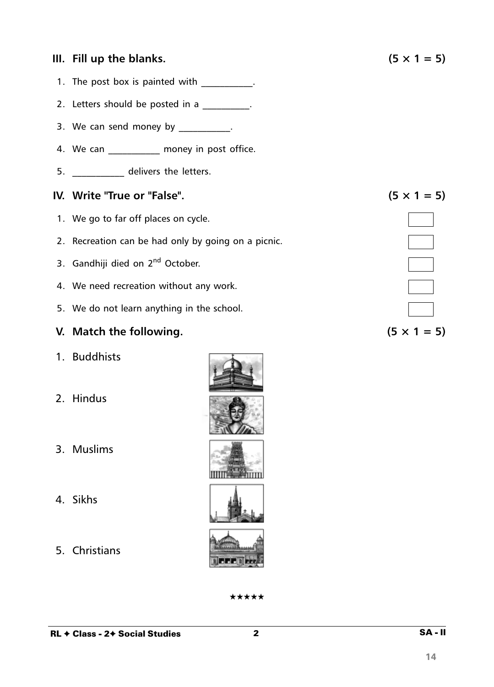#### **III.** Fill up the blanks.  $(5 \times 1 = 5)$

- 1. The post box is painted with \_\_\_\_\_\_\_\_\_\_.
- 2. Letters should be posted in a
- 3. We can send money by  $\frac{1}{2}$ .
- 4. We can money in post office.
- 5. \_\_\_\_\_\_\_\_\_\_\_ delivers the letters.

#### **IV.** Write "True or "False".  $(5 \times 1 = 5)$

- 1. We go to far off places on cycle.
- 2. Recreation can be had only by going on a picnic.
- 3. Gandhiji died on 2<sup>nd</sup> October.
- 4. We need recreation without any work.
- 5. We do not learn anything in the school.

#### **V.** Match the following.  $(5 \times 1 = 5)$

- 1. Buddhists
- 2. Hindus
- 3. Muslims
- 4. Sikhs
- 5. Christians

| ★★★★★ |  |  |
|-------|--|--|
|       |  |  |



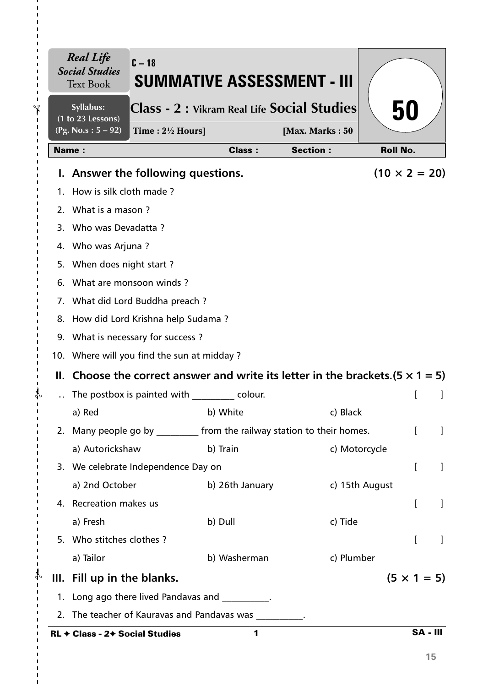|                    | <b>Real Life</b><br><b>Social Studies</b><br><b>Text Book</b> | $C - 18$                                   | <b>SUMMATIVE ASSESSMENT - III</b>                                                      |                 |                      |                 |
|--------------------|---------------------------------------------------------------|--------------------------------------------|----------------------------------------------------------------------------------------|-----------------|----------------------|-----------------|
| $\mathbf{\hat{r}}$ | Syllabus:<br>(1 to 23 Lessons)                                |                                            | Class - 2 : Vikram Real Life Social Studies                                            |                 | 50                   |                 |
| п.                 | $(Pg. No.s: 5 - 92)$                                          | Time : $2\frac{1}{2}$ Hours]               |                                                                                        | [Max. Marks: 50 |                      |                 |
|                    | <b>Name:</b>                                                  |                                            | <b>Class:</b>                                                                          | <b>Section:</b> | <b>Roll No.</b>      |                 |
|                    |                                                               | I. Answer the following questions.         |                                                                                        |                 | $(10 \times 2 = 20)$ |                 |
|                    | 1. How is silk cloth made?                                    |                                            |                                                                                        |                 |                      |                 |
|                    | 2. What is a mason?                                           |                                            |                                                                                        |                 |                      |                 |
|                    | 3. Who was Devadatta?                                         |                                            |                                                                                        |                 |                      |                 |
|                    | 4. Who was Arjuna?                                            |                                            |                                                                                        |                 |                      |                 |
|                    | 5. When does night start?                                     |                                            |                                                                                        |                 |                      |                 |
|                    | 6. What are monsoon winds?                                    |                                            |                                                                                        |                 |                      |                 |
|                    |                                                               | 7. What did Lord Buddha preach?            |                                                                                        |                 |                      |                 |
|                    |                                                               | 8. How did Lord Krishna help Sudama?       |                                                                                        |                 |                      |                 |
|                    |                                                               | 9. What is necessary for success?          |                                                                                        |                 |                      |                 |
|                    |                                                               | 10. Where will you find the sun at midday? |                                                                                        |                 |                      |                 |
|                    |                                                               |                                            | II. Choose the correct answer and write its letter in the brackets. $(5 \times 1 = 5)$ |                 |                      |                 |
|                    |                                                               |                                            | The postbox is painted with colour.                                                    |                 |                      |                 |
|                    | a) Red                                                        |                                            | b) White                                                                               | c) Black        |                      |                 |
|                    |                                                               |                                            | 2. Many people go by __________ from the railway station to their homes.               |                 |                      |                 |
|                    | a) Autorickshaw                                               |                                            | b) Train                                                                               |                 | c) Motorcycle        |                 |
|                    |                                                               | 3. We celebrate Independence Day on        |                                                                                        |                 | $\mathbf{r}$         | 1               |
|                    | a) 2nd October                                                |                                            | b) 26th January                                                                        |                 | c) 15th August       |                 |
|                    | 4. Recreation makes us                                        |                                            |                                                                                        |                 | L                    | 1               |
|                    | a) Fresh                                                      |                                            | b) Dull                                                                                | c) Tide         |                      |                 |
|                    | 5. Who stitches clothes?                                      |                                            |                                                                                        |                 | [                    | 1               |
|                    | a) Tailor                                                     |                                            | b) Washerman                                                                           | c) Plumber      |                      |                 |
| $\Phi$             | III. Fill up in the blanks.                                   |                                            |                                                                                        |                 | $(5 \times 1 = 5)$   |                 |
|                    |                                                               |                                            | 1. Long ago there lived Pandavas and _________.                                        |                 |                      |                 |
|                    |                                                               |                                            | 2. The teacher of Kauravas and Pandavas was                                            |                 |                      |                 |
|                    | RL + Class - 2+ Social Studies                                |                                            | 1                                                                                      |                 |                      | <b>SA - III</b> |

I.

 $\mathbf I$  $\blacksquare$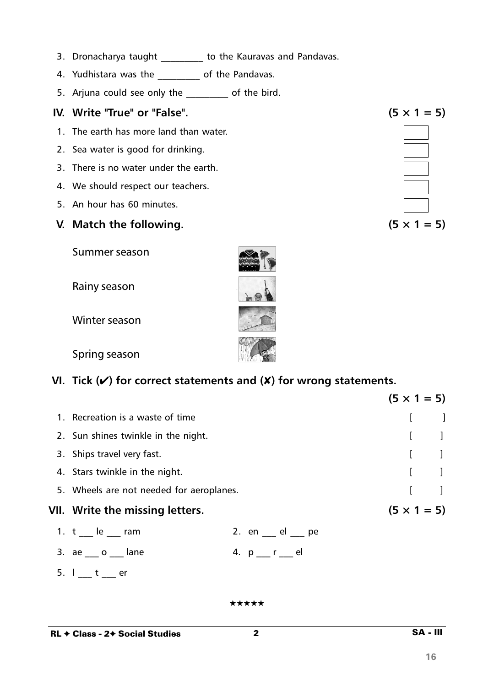- 3. Dronacharya taught \_\_\_\_\_\_\_\_ to the Kauravas and Pandavas.
- 4. Yudhistara was the \_\_\_\_\_\_\_\_\_\_ of the Pandavas.
- 5. Arjuna could see only the \_\_\_\_\_\_\_\_\_ of the bird.

## IV. Write "True" or "False".

- 1. The earth has more land than water.
- 2. Sea water is good for drinking.
- 3. There is no water under the earth.
- 4. We should respect our teachers.
- 5. An hour has 60 minutes.

## V. Match the following.

Summer season

Rainy season

Winter season

Spring season

# VI. Tick  $(V)$  for correct statements and  $(X)$  for wrong statements.

|                                           |                           | $(5 \times 1 = 5)$ |                                       |
|-------------------------------------------|---------------------------|--------------------|---------------------------------------|
| 1. Recreation is a waste of time          |                           |                    |                                       |
| 2. Sun shines twinkle in the night.       |                           |                    |                                       |
| 3. Ships travel very fast.                |                           |                    |                                       |
| 4. Stars twinkle in the night.            |                           |                    | $\begin{bmatrix} 1 & 1 \end{bmatrix}$ |
| 5. Wheels are not needed for aeroplanes.  |                           |                    |                                       |
| VII. Write the missing letters.           |                           | $(5 \times 1 = 5)$ |                                       |
| 1. $t$ $\phantom{0}$ le $\phantom{0}$ ram | 2. en $\_\_$ el $\_\_$ pe |                    |                                       |
| 3. $ae_{\_\_\_}o_{\_\_\_}$ lane           | 4. $p r$ $e$              |                    |                                       |
| 5.1 t<br>er                               |                           |                    |                                       |

\*\*\*\*\*

 $\overline{2}$ 

SA - III

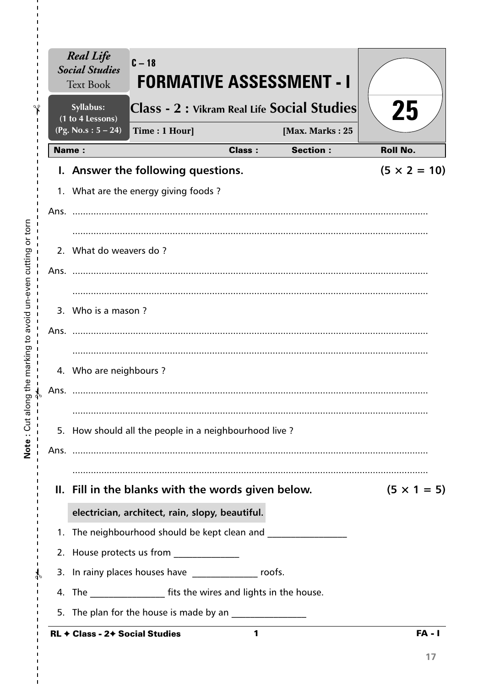|       | <b>Real Life</b><br>$C-18$<br><b>Social Studies</b><br><b>Text Book</b> | <b>FORMATIVE ASSESSMENT - I</b>             |                     |
|-------|-------------------------------------------------------------------------|---------------------------------------------|---------------------|
|       | Syllabus:<br>(1 to 4 Lessons)                                           | Class - 2 : Vikram Real Life Social Studies | 25                  |
|       | (Pg. No.s: $5 - 24$ )<br>Time: 1 Hour]                                  | [Max. Marks: 25                             |                     |
| Name: |                                                                         | <b>Section:</b><br><b>Class:</b>            | <b>Roll No.</b>     |
|       | I. Answer the following questions.                                      |                                             | $(5 \times 2 = 10)$ |
|       | 1. What are the energy giving foods?                                    |                                             |                     |
|       |                                                                         |                                             |                     |
|       |                                                                         |                                             |                     |
|       | 2. What do weavers do?                                                  |                                             |                     |
|       |                                                                         |                                             |                     |
|       |                                                                         |                                             |                     |
|       | 3. Who is a mason?                                                      |                                             |                     |
|       |                                                                         |                                             |                     |
|       |                                                                         |                                             |                     |
|       | 4. Who are neighbours?                                                  |                                             |                     |
| Ans.  |                                                                         |                                             |                     |
|       |                                                                         |                                             |                     |
|       | 5. How should all the people in a neighbourhood live?                   |                                             |                     |
|       |                                                                         |                                             |                     |
|       |                                                                         |                                             |                     |
|       | II. Fill in the blanks with the words given below.                      |                                             | $(5 \times 1 = 5)$  |
|       | electrician, architect, rain, slopy, beautiful.                         |                                             |                     |
|       | 1. The neighbourhood should be kept clean and                           |                                             |                     |
|       | 2. House protects us from _____________                                 |                                             |                     |
|       | 3. In rainy places houses have ________________ roofs.                  |                                             |                     |
|       | 4. The _____________________ fits the wires and lights in the house.    |                                             |                     |
|       | 5. The plan for the house is made by an                                 |                                             |                     |
|       | <b>RL ← Class - 2← Social Studies</b>                                   | 1                                           | <b>FA - I</b>       |

Note: Cut along the marking to avoid un-even cutting or torn

 $\frac{1}{1}$  $\mathsf I$  $\mathbf I$  $\mathbf I$ 

 $\mathbf{I}$  $\mathbf I$  $\mathbf{I}$  $\frac{1}{1}$ 

 $\frac{1}{1}$  $\bar{\mathbf{I}}$  $\mathbf I$  $\mathbf{I}$  $\mathbf{I}$  $\mathbf{I}$  $\mathbf{I}$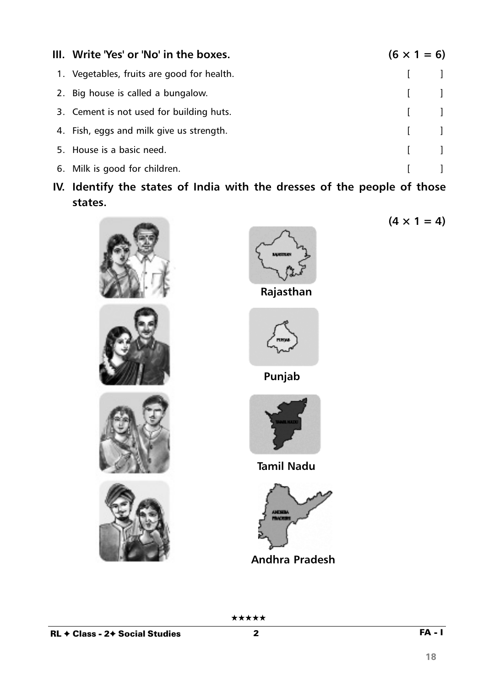| III. Write 'Yes' or 'No' in the boxes.     | $(6 \times 1 = 6)$                    |
|--------------------------------------------|---------------------------------------|
| 1. Vegetables, fruits are good for health. | $\begin{bmatrix} 1 & 1 \end{bmatrix}$ |
| 2. Big house is called a bungalow.         | $\begin{bmatrix} 1 & 1 \end{bmatrix}$ |
| 3. Cement is not used for building huts.   | $\begin{bmatrix} 1 & 1 \end{bmatrix}$ |
| 4. Fish, eggs and milk give us strength.   | $\begin{bmatrix} 1 & 1 \end{bmatrix}$ |
| 5. House is a basic need.                  | $\begin{bmatrix} 1 & 1 \end{bmatrix}$ |
| 6. Milk is good for children.              |                                       |

**IV. Identify the states of India with the dresses of the people of those states.**











 $(4 \times 1 = 4)$ 



**Punjab**



**Tamil Nadu**



**Andhra Pradesh**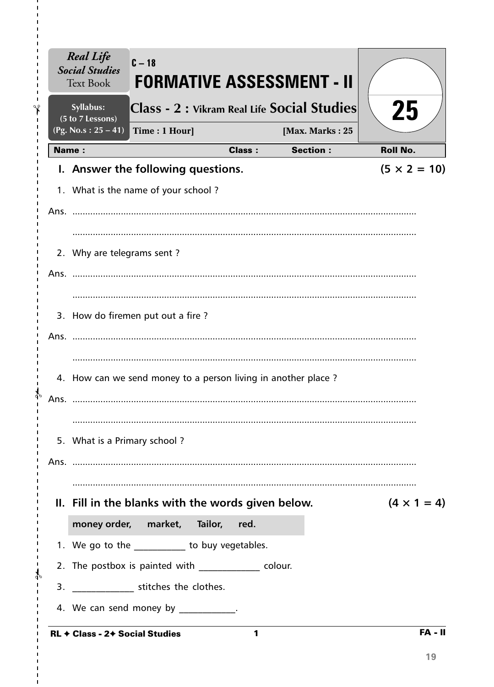|              | FORMATIVE ASSESSMENT - II<br><b>Text Book</b><br>Syllabus:<br>(5 to 7 Lessons) |               | Class - 2 : Vikram Real Life Social Studies | 25                  |
|--------------|--------------------------------------------------------------------------------|---------------|---------------------------------------------|---------------------|
|              | $(Pg. No.s : 25 - 41)$<br>Time: 1 Hour]                                        |               | [Max. Marks: 25                             |                     |
| <b>Name:</b> |                                                                                | <b>Class:</b> | <b>Section:</b>                             | <b>Roll No.</b>     |
|              | I. Answer the following questions.                                             |               |                                             | $(5 \times 2 = 10)$ |
|              | 1. What is the name of your school?                                            |               |                                             |                     |
|              |                                                                                |               |                                             |                     |
|              |                                                                                |               |                                             |                     |
|              | 2. Why are telegrams sent?                                                     |               |                                             |                     |
|              |                                                                                |               |                                             |                     |
|              |                                                                                |               |                                             |                     |
|              | 3. How do firemen put out a fire?                                              |               |                                             |                     |
|              |                                                                                |               |                                             |                     |
|              |                                                                                |               |                                             |                     |
|              | 4. How can we send money to a person living in another place ?                 |               |                                             |                     |
| Ans.         |                                                                                |               |                                             |                     |
|              |                                                                                |               |                                             |                     |
|              | 5. What is a Primary school?                                                   |               |                                             |                     |
|              |                                                                                |               |                                             |                     |
|              | II. Fill in the blanks with the words given below.                             |               |                                             | $(4 \times 1 = 4)$  |
|              | money order, market, Tailor, red.                                              |               |                                             |                     |
|              | 1. We go to the __________ to buy vegetables.                                  |               |                                             |                     |
|              | 2. The postbox is painted with colour.                                         |               |                                             |                     |
|              | 3. ________________ stitches the clothes.                                      |               |                                             |                     |
|              | 4. We can send money by ___________.                                           |               |                                             |                     |

 $\blacksquare$  $\mathbf I$ f.

I.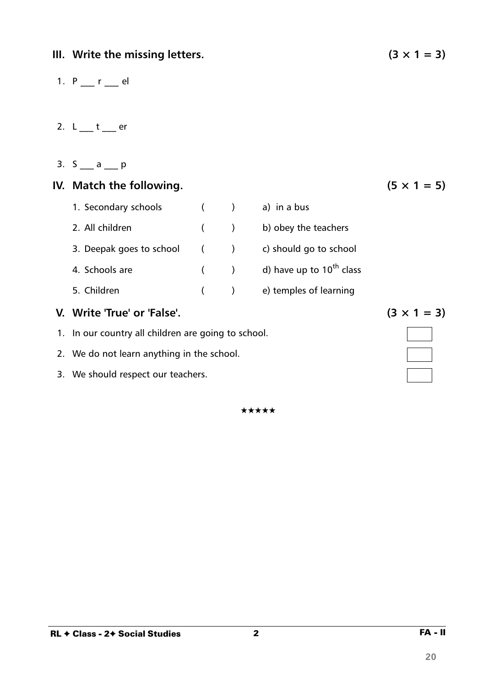## **III.** Write the missing letters. ( $3 \times 1 = 3$ )

- 1.  $P_{1}$   $r_{2}$  el
- 2.  $L_1$   $t_2$  er
- 3.  $S_$  a p

# **IV.** Match the following.

| 1. Secondary schools        |       | a) in a bus                   |
|-----------------------------|-------|-------------------------------|
| 2. All children             | $($ ) | b) obey the teachers          |
| 3. Deepak goes to school () |       | c) should go to school        |
| 4. Schools are              | $($ ) | d) have up to $10^{th}$ class |
| 5. Children                 |       | e) temples of learning        |

## **V.** Write 'True' or 'False'. (3  $\times$  1 = 3)

- 1. In our country all children are going to school.
- 2. We do not learn anything in the school.
- 3. We should respect our teachers.

★★★★★

$$
(5 \times 1 = 5)
$$



**20**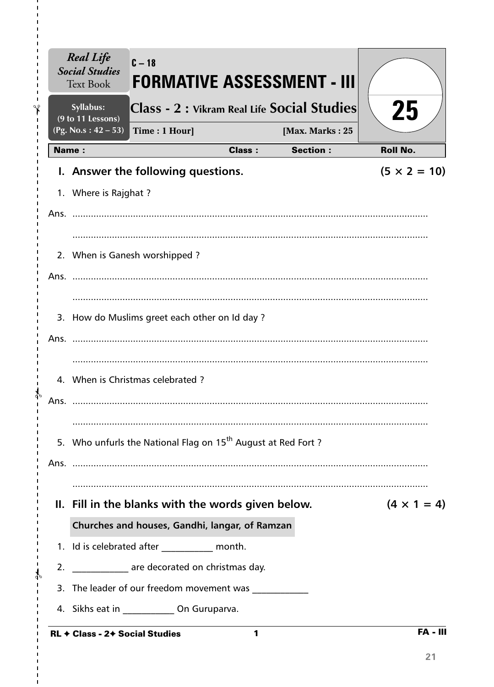|              | <b>Real Life</b><br><b>Social Studies</b><br><b>Text Book</b> | $C - 18$                                          | <b>FORMATIVE ASSESSMENT - III</b>                                        |                                             |                     |
|--------------|---------------------------------------------------------------|---------------------------------------------------|--------------------------------------------------------------------------|---------------------------------------------|---------------------|
|              | Syllabus:<br>(9 to 11 Lessons)                                |                                                   |                                                                          | Class - 2 : Vikram Real Life Social Studies | 25                  |
|              | (Pg. No.s: $42 - 53$ )                                        | Time: 1 Hour]                                     |                                                                          | [Max. Marks: 25                             |                     |
| <b>Name:</b> |                                                               |                                                   | <b>Class:</b>                                                            | <b>Section:</b>                             | <b>Roll No.</b>     |
|              |                                                               | I. Answer the following questions.                |                                                                          |                                             | $(5 \times 2 = 10)$ |
|              | 1. Where is Rajghat ?                                         |                                                   |                                                                          |                                             |                     |
| Ans.         |                                                               |                                                   |                                                                          |                                             |                     |
|              |                                                               |                                                   |                                                                          |                                             |                     |
|              |                                                               | 2. When is Ganesh worshipped?                     |                                                                          |                                             |                     |
|              |                                                               |                                                   |                                                                          |                                             |                     |
|              |                                                               |                                                   |                                                                          |                                             |                     |
|              |                                                               | 3. How do Muslims greet each other on Id day ?    |                                                                          |                                             |                     |
| Ans.         |                                                               |                                                   |                                                                          |                                             |                     |
|              |                                                               |                                                   |                                                                          |                                             |                     |
|              |                                                               | 4. When is Christmas celebrated?                  |                                                                          |                                             |                     |
| Ans.         |                                                               |                                                   |                                                                          |                                             |                     |
|              |                                                               |                                                   |                                                                          |                                             |                     |
|              |                                                               |                                                   | 5. Who unfurls the National Flag on 15 <sup>th</sup> August at Red Fort? |                                             |                     |
|              |                                                               |                                                   |                                                                          |                                             |                     |
|              |                                                               |                                                   |                                                                          |                                             |                     |
|              |                                                               |                                                   | II. Fill in the blanks with the words given below.                       |                                             | $(4 \times 1 = 4)$  |
|              |                                                               |                                                   | Churches and houses, Gandhi, langar, of Ramzan                           |                                             |                     |
|              |                                                               | 1. Id is celebrated after _____________ month.    |                                                                          |                                             |                     |
|              |                                                               | 2. ______________ are decorated on christmas day. |                                                                          |                                             |                     |
|              |                                                               |                                                   | 3. The leader of our freedom movement was                                |                                             |                     |
|              |                                                               | 4. Sikhs eat in ______________ On Guruparva.      |                                                                          |                                             |                     |
|              | RL + Class - 2+ Social Studies                                |                                                   | 1                                                                        |                                             | <b>FA - III</b>     |

 $\mathbf{I}$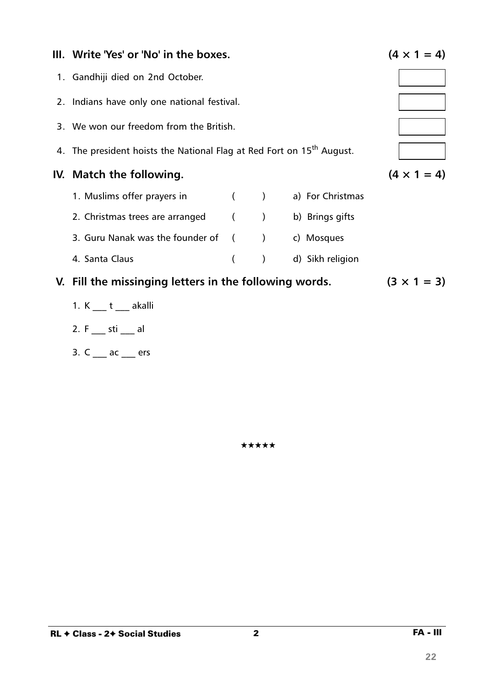| III. Write 'Yes' or 'No' in the boxes.                                            |          |                  |                  | $(4 \times 1 = 4)$ |
|-----------------------------------------------------------------------------------|----------|------------------|------------------|--------------------|
| 1. Gandhiji died on 2nd October.                                                  |          |                  |                  |                    |
| 2. Indians have only one national festival.                                       |          |                  |                  |                    |
| 3. We won our freedom from the British.                                           |          |                  |                  |                    |
| 4. The president hoists the National Flag at Red Fort on 15 <sup>th</sup> August. |          |                  |                  |                    |
| IV. Match the following.                                                          |          |                  |                  | $(4 \times 1 = 4)$ |
| 1. Muslims offer prayers in ( ) a) For Christmas                                  |          |                  |                  |                    |
| 2. Christmas trees are arranged (Casable 1) b) Brings gifts                       |          |                  |                  |                    |
| 3. Guru Nanak was the founder of () c) Mosques                                    |          |                  |                  |                    |
| 4. Santa Claus                                                                    | $\left($ | $\left( \right)$ | d) Sikh religion |                    |
| V. Fill the missinging letters in the following words.                            |          |                  |                  | $(3 \times 1 = 3)$ |
| 1. K t akalli                                                                     |          |                  |                  |                    |
| 2. F sti al                                                                       |          |                  |                  |                    |

\*\*\*\*\*

3.  $C_{\frac{1}{2}}$  ac  $\frac{1}{2}$  ers

22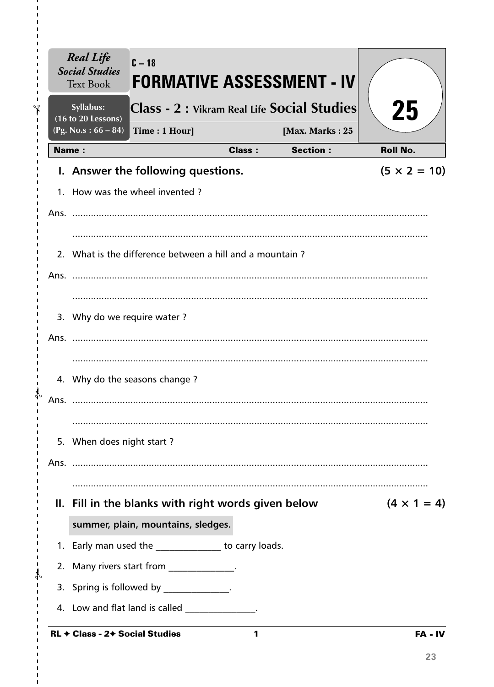| Syllabus:<br>(16 to 20 Lessons)                          | Class - 2 : Vikram Real Life Social Studies |               |                 | 25                  |
|----------------------------------------------------------|---------------------------------------------|---------------|-----------------|---------------------|
| (Pg. No.s: $66 - 84$ )                                   | Time: 1 Hour]                               |               | [Max. Marks: 25 |                     |
| Name:                                                    |                                             | <b>Class:</b> | <b>Section:</b> | <b>Roll No.</b>     |
| I. Answer the following questions.                       |                                             |               |                 | $(5 \times 2 = 10)$ |
| 1. How was the wheel invented?                           |                                             |               |                 |                     |
|                                                          |                                             |               |                 |                     |
|                                                          |                                             |               |                 |                     |
| 2. What is the difference between a hill and a mountain? |                                             |               |                 |                     |
|                                                          |                                             |               |                 |                     |
|                                                          |                                             |               |                 |                     |
| 3. Why do we require water?                              |                                             |               |                 |                     |
|                                                          |                                             |               |                 |                     |
|                                                          |                                             |               |                 |                     |
| 4. Why do the seasons change?                            |                                             |               |                 |                     |
| Ans.                                                     |                                             |               |                 |                     |
|                                                          |                                             |               |                 |                     |
| 5. When does night start?                                |                                             |               |                 |                     |
|                                                          |                                             |               |                 |                     |
|                                                          |                                             |               |                 |                     |
| II. Fill in the blanks with right words given below      |                                             |               |                 | $(4 \times 1 = 4)$  |
|                                                          | summer, plain, mountains, sledges.          |               |                 |                     |
| 1. Early man used the ______________ to carry loads.     |                                             |               |                 |                     |
| 2. Many rivers start from ______________.                |                                             |               |                 |                     |
| 3. Spring is followed by _____________.                  |                                             |               |                 |                     |
| 4. Low and flat land is called ______________.           |                                             |               |                 |                     |
| <b>RL + Class - 2+ Social Studies</b>                    |                                             | 1             |                 | FA - IV             |

 $\mathbf{I}$ 

 $\blacksquare$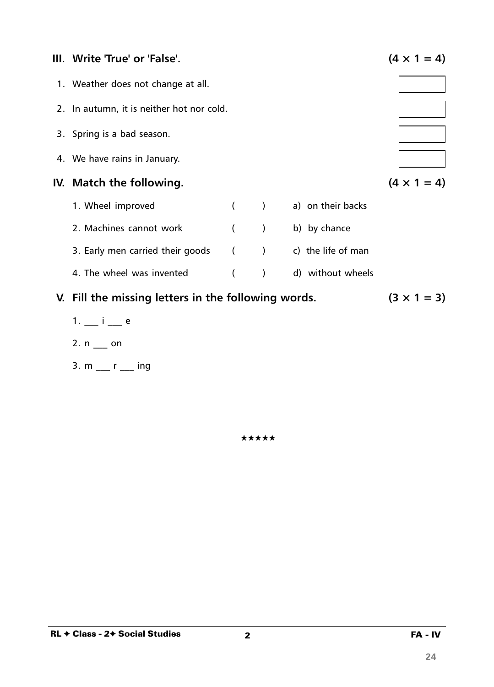

- $1. i e$
- 2.  $n$  \_\_ on
- 3.  $m$  \_\_ r \_\_ ing

★★★★★

24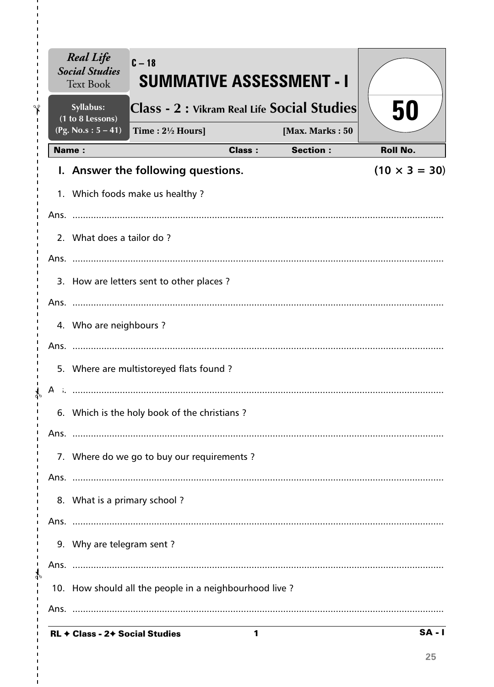|               |              | <b>Real Life</b><br><b>Social Studies</b><br><b>Text Book</b> | $C-18$<br><b>SUMMATIVE ASSESSMENT - I</b>              |               |                 |                      |
|---------------|--------------|---------------------------------------------------------------|--------------------------------------------------------|---------------|-----------------|----------------------|
| ∿             |              | Syllabus:<br>(1 to 8 Lessons)                                 | Class - 2 : Vikram Real Life Social Studies            |               |                 | 50                   |
|               |              | $(Pg. No.s: 5 - 41)$                                          | Time: $2\frac{1}{2}$ Hours]                            |               | [Max. Marks: 50 |                      |
|               | <b>Name:</b> |                                                               |                                                        | <b>Class:</b> | <b>Section:</b> | <b>Roll No.</b>      |
|               |              |                                                               | I. Answer the following questions.                     |               |                 | $(10 \times 3 = 30)$ |
|               |              |                                                               | 1. Which foods make us healthy?                        |               |                 |                      |
|               |              |                                                               |                                                        |               |                 |                      |
|               |              | 2. What does a tailor do?                                     |                                                        |               |                 |                      |
|               |              |                                                               |                                                        |               |                 |                      |
|               |              |                                                               | 3. How are letters sent to other places?               |               |                 |                      |
|               |              |                                                               |                                                        |               |                 |                      |
|               |              | 4. Who are neighbours?                                        |                                                        |               |                 |                      |
|               |              |                                                               |                                                        |               |                 |                      |
|               |              |                                                               | 5. Where are multistoreyed flats found?                |               |                 |                      |
|               |              |                                                               |                                                        |               |                 |                      |
|               |              |                                                               | 6. Which is the holy book of the christians?           |               |                 |                      |
|               |              |                                                               |                                                        |               |                 |                      |
|               |              |                                                               | 7. Where do we go to buy our requirements?             |               |                 |                      |
|               |              |                                                               |                                                        |               |                 |                      |
|               |              |                                                               |                                                        |               |                 |                      |
|               |              | 8. What is a primary school?                                  |                                                        |               |                 |                      |
|               |              |                                                               |                                                        |               |                 |                      |
|               |              | 9. Why are telegram sent?                                     |                                                        |               |                 |                      |
| $\mathcal{L}$ |              |                                                               |                                                        |               |                 |                      |
|               |              |                                                               | 10. How should all the people in a neighbourhood live? |               |                 |                      |
|               |              |                                                               |                                                        |               |                 |                      |
|               |              |                                                               | $\mathbf{Q}$                                           |               |                 |                      |

I.

 $\blacksquare$ 

 $\blacksquare$ 

25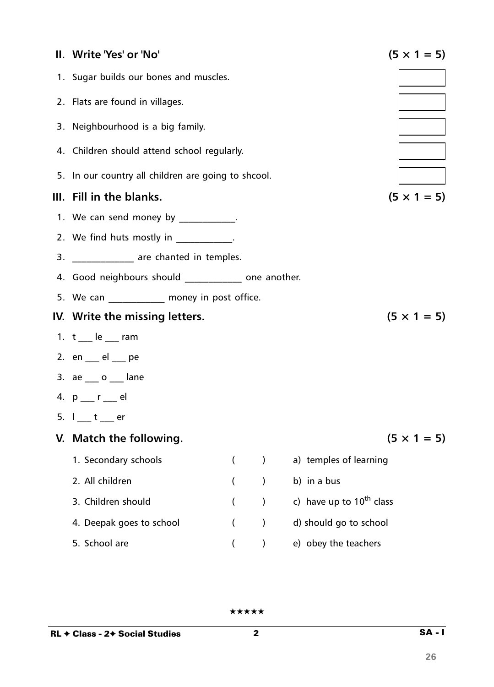| II. Write 'Yes' or 'No'                             |                          |               |                               | $(5 \times 1 = 5)$ |
|-----------------------------------------------------|--------------------------|---------------|-------------------------------|--------------------|
| 1. Sugar builds our bones and muscles.              |                          |               |                               |                    |
| 2. Flats are found in villages.                     |                          |               |                               |                    |
| 3. Neighbourhood is a big family.                   |                          |               |                               |                    |
| 4. Children should attend school regularly.         |                          |               |                               |                    |
| 5. In our country all children are going to shcool. |                          |               |                               |                    |
| III. Fill in the blanks.                            |                          |               |                               | $(5 \times 1 = 5)$ |
| 1. We can send money by ____________.               |                          |               |                               |                    |
| 2. We find huts mostly in _____________.            |                          |               |                               |                    |
| 3. ______________ are chanted in temples.           |                          |               |                               |                    |
| 4. Good neighbours should one another.              |                          |               |                               |                    |
| 5. We can ___________ money in post office.         |                          |               |                               |                    |
| IV. Write the missing letters.                      |                          |               |                               | $(5 \times 1 = 5)$ |
| 1. $t$ $\phantom{0}$ le $\phantom{0}$ ram           |                          |               |                               |                    |
| 2. $en$ $el$ $pe$                                   |                          |               |                               |                    |
| 3. $ae_{\_\_}o_{\_\_}$ lane                         |                          |               |                               |                    |
| 4. p __ r __ el                                     |                          |               |                               |                    |
| 5. $I_1$ $t_2$ er                                   |                          |               |                               |                    |
| V. Match the following.                             |                          |               |                               | $(5 \times 1 = 5)$ |
| 1. Secondary schools                                | $\overline{\phantom{a}}$ | $\mathcal{E}$ | a) temples of learning        |                    |
| 2. All children                                     |                          | $\mathcal{C}$ | b) in a bus                   |                    |
| 3. Children should                                  |                          | $\mathcal{C}$ | c) have up to $10^{th}$ class |                    |
| 4. Deepak goes to school                            |                          | $\mathcal{E}$ | d) should go to school        |                    |
| 5. School are                                       |                          |               | e) obey the teachers          |                    |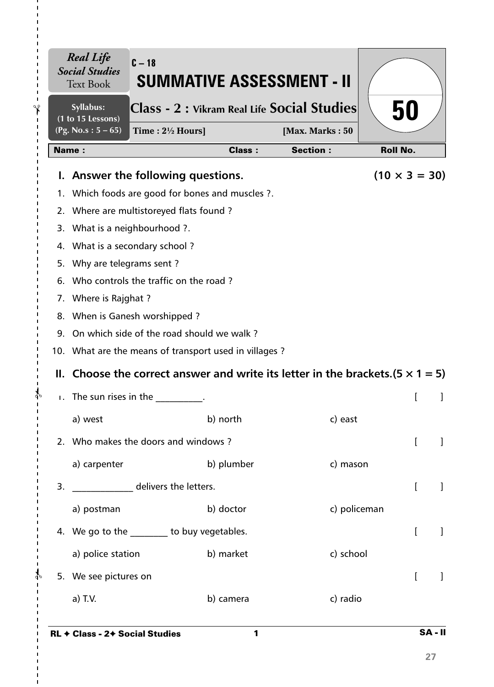|              | (1 to 15 Lessons)<br>(Pg. No.s: $5 - 65$ )<br>Time: $2\frac{1}{2}$ Hours]              |               | [Max. Marks: 50 | 50                   |
|--------------|----------------------------------------------------------------------------------------|---------------|-----------------|----------------------|
|              | <b>Name:</b>                                                                           | <b>Class:</b> | <b>Section:</b> | <b>Roll No.</b>      |
|              | I. Answer the following questions.                                                     |               |                 | $(10 \times 3 = 30)$ |
|              | 1. Which foods are good for bones and muscles ?.                                       |               |                 |                      |
|              | 2. Where are multistoreyed flats found?                                                |               |                 |                      |
|              | 3. What is a neighbourhood ?.                                                          |               |                 |                      |
|              | 4. What is a secondary school?                                                         |               |                 |                      |
| 5.           | Why are telegrams sent?                                                                |               |                 |                      |
|              | 6. Who controls the traffic on the road?                                               |               |                 |                      |
|              | 7. Where is Rajghat ?                                                                  |               |                 |                      |
|              | 8. When is Ganesh worshipped?                                                          |               |                 |                      |
|              | 9. On which side of the road should we walk?                                           |               |                 |                      |
|              | 10. What are the means of transport used in villages?                                  |               |                 |                      |
|              | II. Choose the correct answer and write its letter in the brackets. $(5 \times 1 = 5)$ |               |                 |                      |
| $\mathbf{L}$ | The sun rises in the                                                                   |               |                 |                      |
|              | a) west                                                                                | b) north      | c) east         |                      |
|              | 2. Who makes the doors and windows?                                                    |               |                 |                      |
|              | a) carpenter                                                                           | b) plumber    | c) mason        |                      |
| 3.           | delivers the letters.                                                                  |               |                 | [                    |
|              | a) postman                                                                             | b) doctor     | c) policeman    |                      |
|              | 4. We go to the ________ to buy vegetables.                                            |               |                 | $\mathbf{r}$         |
|              | a) police station                                                                      | b) market     | c) school       |                      |
|              | 5. We see pictures on                                                                  |               |                 |                      |
|              |                                                                                        |               |                 |                      |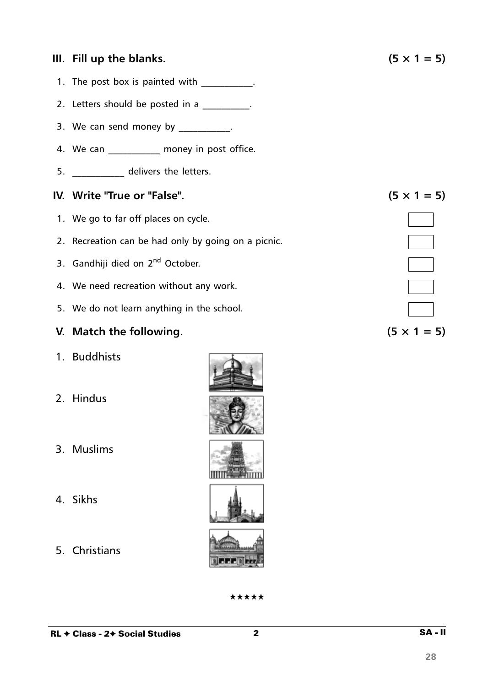#### **III.** Fill up the blanks.  $(5 \times 1 = 5)$

- 1. The post box is painted with \_\_\_\_\_\_\_\_\_\_.
- 2. Letters should be posted in a
- 3. We can send money by  $\frac{1}{2}$ .
- 4. We can money in post office.
- 5. \_\_\_\_\_\_\_\_\_\_\_ delivers the letters.

#### **IV.** Write "True or "False".  $(5 \times 1 = 5)$

- 1. We go to far off places on cycle.
- 2. Recreation can be had only by going on a picnic.
- 3. Gandhiji died on 2<sup>nd</sup> October.
- 4. We need recreation without any work.
- 5. We do not learn anything in the school.

#### **V.** Match the following.  $(5 \times 1 = 5)$

- 1. Buddhists
- 2. Hindus
- 3. Muslims
- 4. Sikhs
- 5. Christians

| ★★★★★ |  |  |
|-------|--|--|
|       |  |  |

2 SA - II

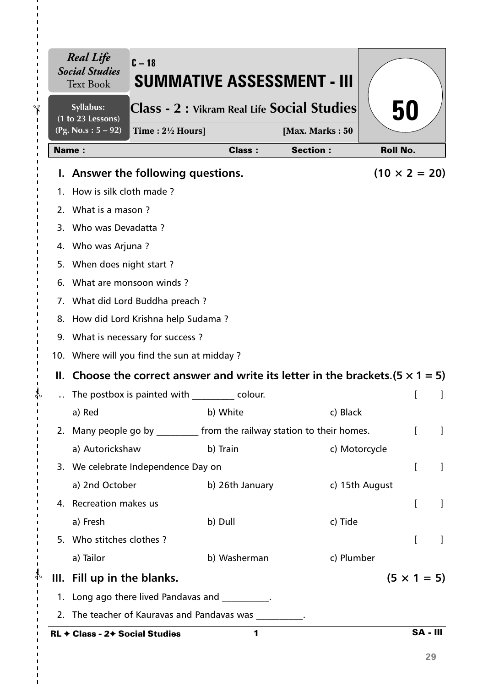|               |                                                     | <b>Real Life</b><br><b>Social Studies</b><br><b>Text Book</b>           | $C - 18$                                                                               | SUMMATIVE ASSESSMENT - III                      |                 |                      |              |  |
|---------------|-----------------------------------------------------|-------------------------------------------------------------------------|----------------------------------------------------------------------------------------|-------------------------------------------------|-----------------|----------------------|--------------|--|
| $\gamma$      |                                                     | Syllabus:<br>(1 to 23 Lessons)                                          | Class - 2 : Vikram Real Life Social Studies<br>50                                      |                                                 |                 |                      |              |  |
| $\mathbf I$   | $(Pg. No.s: 5 - 92)$<br>Time: $2\frac{1}{2}$ Hours] |                                                                         |                                                                                        |                                                 | [Max. Marks: 50 |                      |              |  |
|               |                                                     | <b>Name:</b>                                                            |                                                                                        | <b>Class:</b>                                   | <b>Section:</b> | <b>Roll No.</b>      |              |  |
|               |                                                     |                                                                         | I. Answer the following questions.                                                     |                                                 |                 | $(10 \times 2 = 20)$ |              |  |
|               |                                                     | 1. How is silk cloth made?                                              |                                                                                        |                                                 |                 |                      |              |  |
|               |                                                     |                                                                         | 2. What is a mason?                                                                    |                                                 |                 |                      |              |  |
|               |                                                     | 3. Who was Devadatta?                                                   |                                                                                        |                                                 |                 |                      |              |  |
|               |                                                     | 4. Who was Arjuna?                                                      |                                                                                        |                                                 |                 |                      |              |  |
|               |                                                     | 5. When does night start?                                               |                                                                                        |                                                 |                 |                      |              |  |
|               |                                                     | 6. What are monsoon winds?                                              |                                                                                        |                                                 |                 |                      |              |  |
|               |                                                     | 7. What did Lord Buddha preach?                                         |                                                                                        |                                                 |                 |                      |              |  |
|               |                                                     |                                                                         | 8. How did Lord Krishna help Sudama?                                                   |                                                 |                 |                      |              |  |
|               |                                                     |                                                                         | 9. What is necessary for success?<br>10. Where will you find the sun at midday?        |                                                 |                 |                      |              |  |
|               |                                                     |                                                                         |                                                                                        |                                                 |                 |                      |              |  |
|               |                                                     |                                                                         | II. Choose the correct answer and write its letter in the brackets. $(5 \times 1 = 5)$ |                                                 |                 |                      |              |  |
|               |                                                     |                                                                         |                                                                                        | The postbox is painted with colour.             |                 |                      |              |  |
|               |                                                     | a) Red                                                                  |                                                                                        | b) White                                        | c) Black        |                      |              |  |
|               |                                                     | 2. Many people go by _________ from the railway station to their homes. |                                                                                        |                                                 |                 |                      |              |  |
|               |                                                     | a) Autorickshaw                                                         |                                                                                        | b) Train                                        |                 | c) Motorcycle        |              |  |
|               |                                                     |                                                                         | 3. We celebrate Independence Day on                                                    |                                                 |                 | L                    | $\mathbf{I}$ |  |
|               |                                                     | a) 2nd October                                                          |                                                                                        | b) 26th January                                 |                 | c) 15th August       |              |  |
|               |                                                     | 4. Recreation makes us                                                  |                                                                                        |                                                 |                 | L                    | T            |  |
|               |                                                     | a) Fresh                                                                |                                                                                        | b) Dull                                         | c) Tide         |                      |              |  |
|               |                                                     | 5. Who stitches clothes?                                                |                                                                                        |                                                 |                 | L                    | 1            |  |
|               |                                                     | a) Tailor                                                               |                                                                                        | b) Washerman                                    | c) Plumber      |                      |              |  |
| $\frac{1}{2}$ |                                                     | III. Fill up in the blanks.                                             |                                                                                        |                                                 |                 | $(5 \times 1 = 5)$   |              |  |
|               |                                                     |                                                                         |                                                                                        | 1. Long ago there lived Pandavas and _________. |                 |                      |              |  |
|               |                                                     | 2. The teacher of Kauravas and Pandavas was                             |                                                                                        |                                                 |                 |                      |              |  |
|               |                                                     | RL + Class - 2+ Social Studies                                          |                                                                                        | 1                                               |                 | <b>SA - III</b>      |              |  |

I.

 $\mathbf{I}$  $\blacksquare$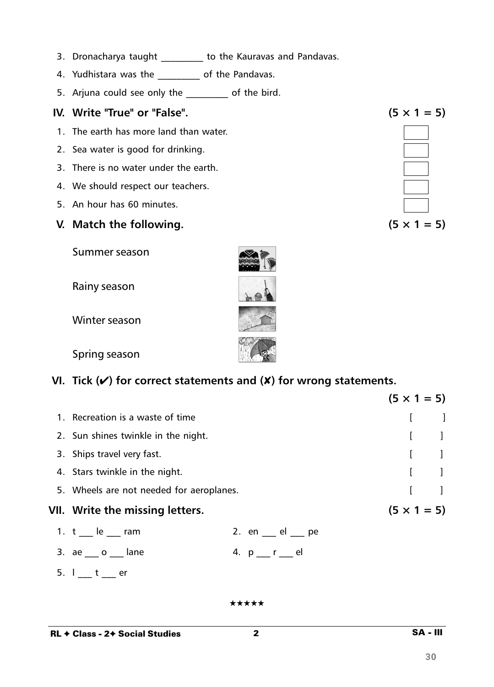- 3. Dronacharya taught \_\_\_\_\_\_\_\_ to the Kauravas and Pandavas.
- 4. Yudhistara was the \_\_\_\_\_\_\_\_\_\_ of the Pandavas.
- 5. Arjuna could see only the \_\_\_\_\_\_\_\_\_ of the bird.

## IV. Write "True" or "False".

- 1. The earth has more land than water.
- 2. Sea water is good for drinking.
- 3. There is no water under the earth.
- 4. We should respect our teachers.
- 5. An hour has 60 minutes.

## V. Match the following.

Summer season

Rainy season

Winter season

Spring season

# VI. Tick  $(V)$  for correct statements and  $(X)$  for wrong statements.

|                                          |  |                           | $(5 \times 1 = 5)$ |                                       |
|------------------------------------------|--|---------------------------|--------------------|---------------------------------------|
| 1. Recreation is a waste of time         |  |                           |                    |                                       |
| 2. Sun shines twinkle in the night.      |  |                           |                    |                                       |
| 3. Ships travel very fast.               |  |                           |                    |                                       |
| 4. Stars twinkle in the night.           |  |                           |                    | $\begin{bmatrix} 1 & 1 \end{bmatrix}$ |
| 5. Wheels are not needed for aeroplanes. |  |                           |                    |                                       |
| VII. Write the missing letters.          |  |                           | $(5 \times 1 = 5)$ |                                       |
| 1. $t$ __ le __ ram                      |  | 2. en $\_\_$ el $\_\_$ pe |                    |                                       |
| 3. $ae_{\_\_\_}o_{\_\_\_}$ lane          |  | 4. p__r___el              |                    |                                       |
| 5.1 t<br>er                              |  |                           |                    |                                       |

\*\*\*\*\*

 $\overline{2}$ 

SA - III